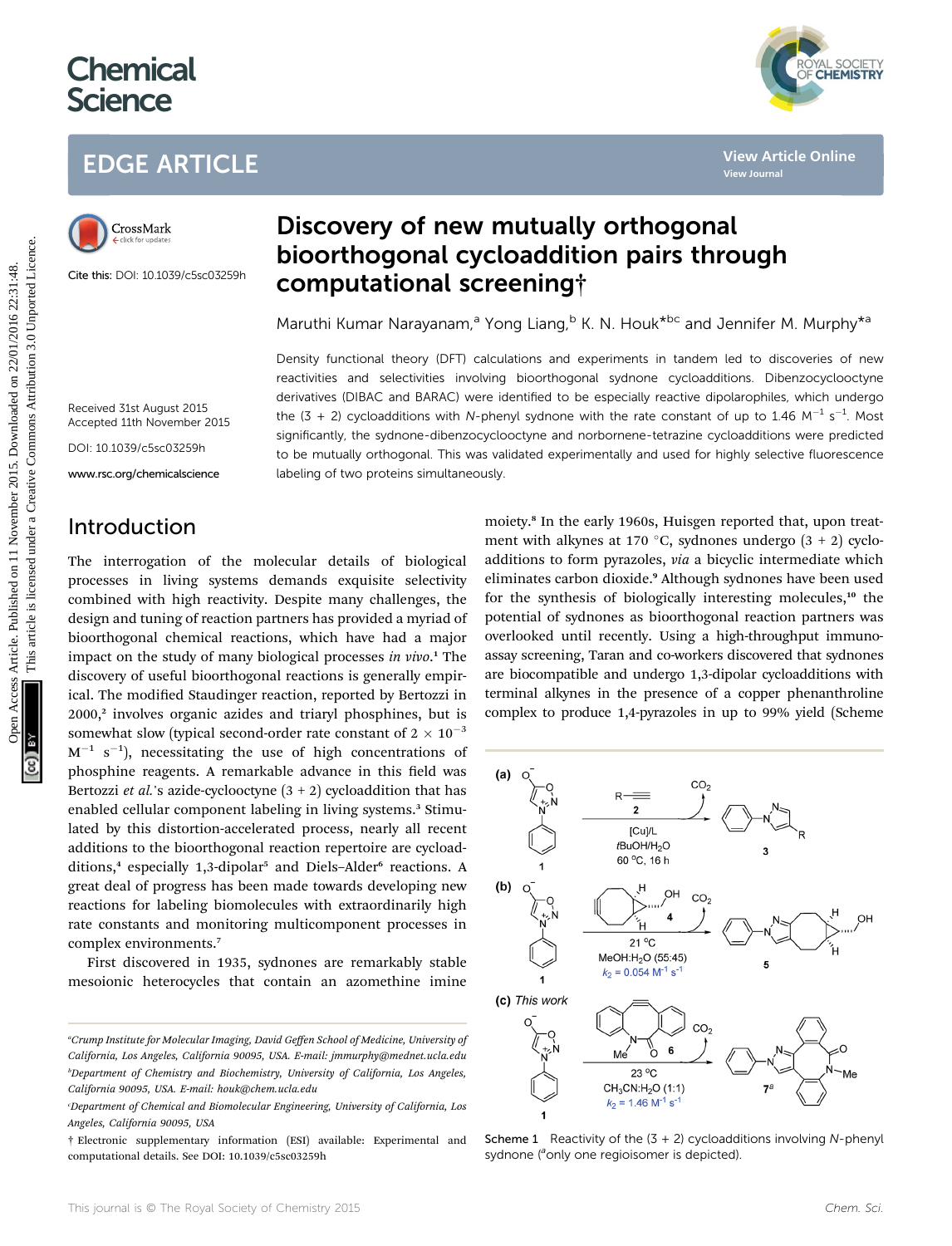# **Chemical Science**

## EDGE ARTICLE



Cite this: DOI: 10.1039/c5sc03259h

## Discovery of new mutually orthogonal bioorthogonal cycloaddition pairs through computational screening†

Maruthi Kumar Narayanam,<sup>a</sup> Yong Liang,<sup>b</sup> K. N. Houk<sup>\*bc</sup> and Jennifer M. Murphy<sup>\*a</sup>

Density functional theory (DFT) calculations and experiments in tandem led to discoveries of new reactivities and selectivities involving bioorthogonal sydnone cycloadditions. Dibenzocyclooctyne derivatives (DIBAC and BARAC) were identified to be especially reactive dipolarophiles, which undergo the (3 + 2) cycloadditions with N-phenyl sydnone with the rate constant of up to 1.46  $M^{-1}$  s<sup>-1</sup>. Most significantly, the sydnone-dibenzocyclooctyne and norbornene-tetrazine cycloadditions were predicted to be mutually orthogonal. This was validated experimentally and used for highly selective fluorescence labeling of two proteins simultaneously.

Received 31st August 2015 Accepted 11th November 2015

DOI: 10.1039/c5sc03259h

www.rsc.org/chemicalscience

#### Introduction

The interrogation of the molecular details of biological processes in living systems demands exquisite selectivity combined with high reactivity. Despite many challenges, the design and tuning of reaction partners has provided a myriad of bioorthogonal chemical reactions, which have had a major impact on the study of many biological processes in vivo.<sup>1</sup> The discovery of useful bioorthogonal reactions is generally empirical. The modified Staudinger reaction, reported by Bertozzi in 2000,<sup>2</sup> involves organic azides and triaryl phosphines, but is somewhat slow (typical second-order rate constant of  $2 \times 10^{-3}$ )  $M^{-1}$  s<sup>-1</sup>), necessitating the use of high concentrations of phosphine reagents. A remarkable advance in this field was Bertozzi *et al.*'s azide-cyclooctyne  $(3 + 2)$  cycloaddition that has enabled cellular component labeling in living systems.<sup>3</sup> Stimulated by this distortion-accelerated process, nearly all recent additions to the bioorthogonal reaction repertoire are cycloadditions,<sup>4</sup> especially 1,3-dipolar<sup>5</sup> and Diels–Alder<sup>6</sup> reactions. A great deal of progress has been made towards developing new reactions for labeling biomolecules with extraordinarily high rate constants and monitoring multicomponent processes in complex environments.<sup>7</sup>

First discovered in 1935, sydnones are remarkably stable mesoionic heterocycles that contain an azomethine imine

moiety.<sup>8</sup> In the early 1960s, Huisgen reported that, upon treatment with alkynes at 170 °C, sydnones undergo  $(3 + 2)$  cycloadditions to form pyrazoles, via a bicyclic intermediate which eliminates carbon dioxide.<sup>9</sup> Although sydnones have been used for the synthesis of biologically interesting molecules,<sup>10</sup> the potential of sydnones as bioorthogonal reaction partners was overlooked until recently. Using a high-throughput immunoassay screening, Taran and co-workers discovered that sydnones are biocompatible and undergo 1,3-dipolar cycloadditions with terminal alkynes in the presence of a copper phenanthroline complex to produce 1,4-pyrazoles in up to 99% yield (Scheme **EDGE ARTICLE**<br> **SECOVEY Of New mutually orthogonal<br>
SECOND SECOND COMPUTATION COMPUTATION COMPUTATION COMPUTATION COMPUTATION COMPUTATION COMPUTATION COMPUTATION COMPUTATION COMPUTATION COMPUTATION CONSUMPTION CONSUMPTION** 



Scheme 1 Reactivity of the  $(3 + 2)$  cycloadditions involving N-phenyl sydnone (<sup>a</sup>only one regioisomer is depicted).

YAL SOCIETY<br>**CHEMISTRY** 

<sup>&</sup>lt;sup>a</sup>Crump Institute for Molecular Imaging, David Geffen School of Medicine, University of California, Los Angeles, California 90095, USA. E-mail: jmmurphy@mednet.ucla.edu b Department of Chemistry and Biochemistry, University of California, Los Angeles, California 90095, USA. E-mail: houk@chem.ucla.edu

c Department of Chemical and Biomolecular Engineering, University of California, Los Angeles, California 90095, USA

<sup>†</sup> Electronic supplementary information (ESI) available: Experimental and computational details. See DOI: 10.1039/c5sc03259h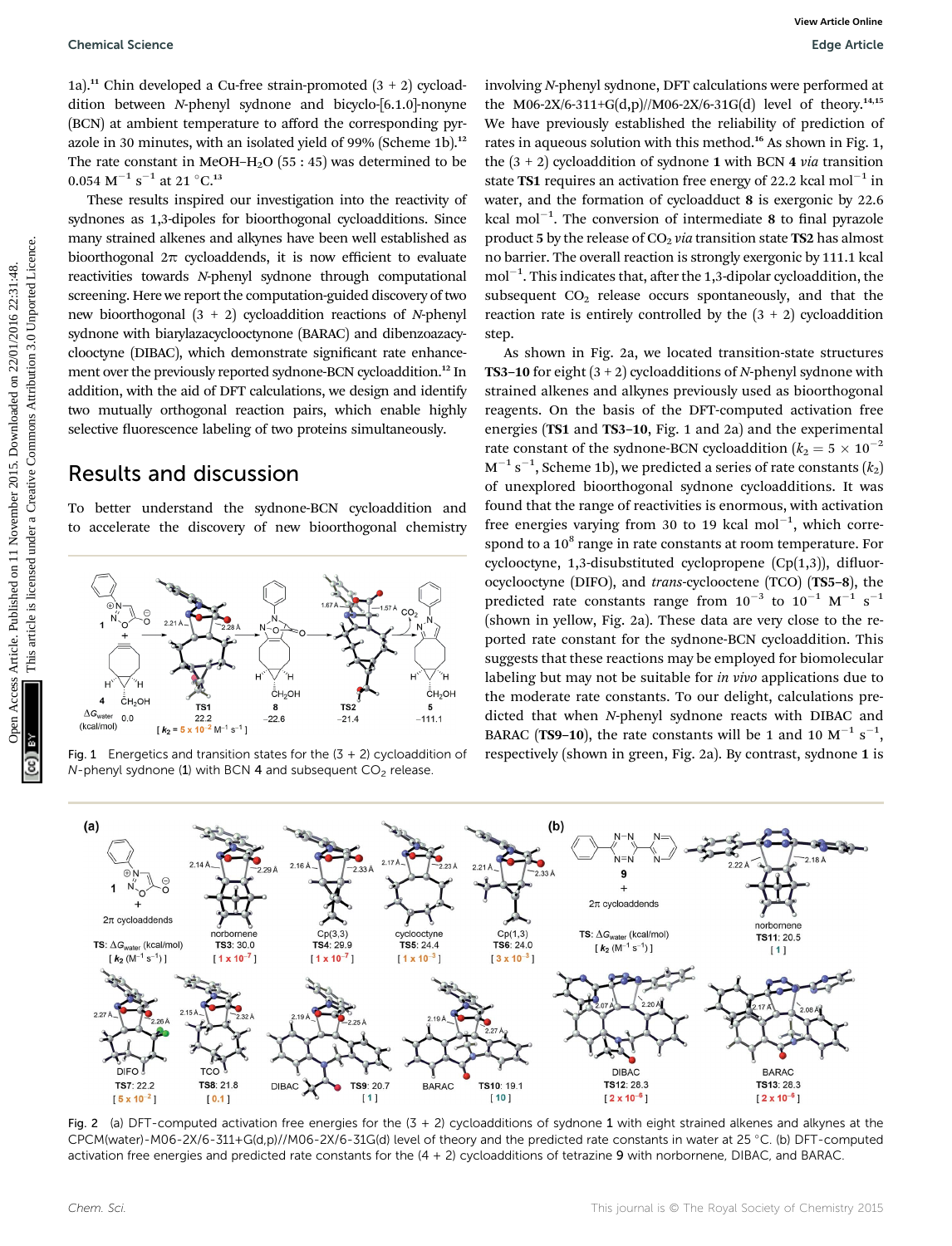1a).<sup>11</sup> Chin developed a Cu-free strain-promoted  $(3 + 2)$  cycloaddition between N-phenyl sydnone and bicyclo-[6.1.0]-nonyne (BCN) at ambient temperature to afford the corresponding pyrazole in 30 minutes, with an isolated yield of 99% (Scheme 1b).<sup>12</sup> The rate constant in MeOH–H<sub>2</sub>O (55 : 45) was determined to be  $0.054 \text{ M}^{-1} \text{ s}^{-1}$  at 21 °C.<sup>13</sup>

These results inspired our investigation into the reactivity of sydnones as 1,3-dipoles for bioorthogonal cycloadditions. Since many strained alkenes and alkynes have been well established as bioorthogonal  $2\pi$  cycloaddends, it is now efficient to evaluate reactivities towards N-phenyl sydnone through computational screening. Here we report the computation-guided discovery of two new bioorthogonal  $(3 + 2)$  cycloaddition reactions of N-phenyl sydnone with biarylazacyclooctynone (BARAC) and dibenzoazacyclooctyne (DIBAC), which demonstrate signicant rate enhancement over the previously reported sydnone-BCN cycloaddition.<sup>12</sup> In addition, with the aid of DFT calculations, we design and identify two mutually orthogonal reaction pairs, which enable highly selective fluorescence labeling of two proteins simultaneously.

#### Results and discussion

To better understand the sydnone-BCN cycloaddition and to accelerate the discovery of new bioorthogonal chemistry



 $N$ -phenyl sydnone (1) with BCN 4 and subsequent  $CO<sub>2</sub>$  release.

involving N-phenyl sydnone, DFT calculations were performed at the M06-2X/6-311+G(d,p)//M06-2X/6-31G(d) level of theory.<sup>14,15</sup> We have previously established the reliability of prediction of rates in aqueous solution with this method.<sup>16</sup> As shown in Fig. 1, the  $(3 + 2)$  cycloaddition of sydnone 1 with BCN 4 *via* transition state **TS1** requires an activation free energy of 22.2 kcal mol<sup>-1</sup> in water, and the formation of cycloadduct 8 is exergonic by 22.6 kcal mol $^{-1}$ . The conversion of intermediate 8 to final pyrazole product 5 by the release of  $CO<sub>2</sub>$  via transition state TS2 has almost no barrier. The overall reaction is strongly exergonic by 111.1 kcal  $mol^{-1}$ . This indicates that, after the 1,3-dipolar cycloaddition, the subsequent  $CO<sub>2</sub>$  release occurs spontaneously, and that the reaction rate is entirely controlled by the  $(3 + 2)$  cycloaddition step.

As shown in Fig. 2a, we located transition-state structures **TS3–10** for eight  $(3 + 2)$  cycloadditions of N-phenyl sydnone with strained alkenes and alkynes previously used as bioorthogonal reagents. On the basis of the DFT-computed activation free energies (TS1 and TS3–10, Fig. 1 and 2a) and the experimental rate constant of the sydnone-BCN cycloaddition ( $k_2 = 5 \times 10^{-2}$ )  $\rm M^{-1}\,s^{-1},$  Scheme 1b), we predicted a series of rate constants  $(k_2)$ of unexplored bioorthogonal sydnone cycloadditions. It was found that the range of reactivities is enormous, with activation free energies varying from 30 to 19 kcal mol $^{-1}$ , which correspond to a  $10^8$  range in rate constants at room temperature. For cyclooctyne,  $1,3$ -disubstituted cyclopropene (Cp(1,3)), difluorocyclooctyne (DIFO), and trans-cyclooctene (TCO) (TS5–8), the predicted rate constants range from  $10^{-3}$  to  $10^{-1}$  M<sup>-1</sup> s<sup>-1</sup> (shown in yellow, Fig. 2a). These data are very close to the reported rate constant for the sydnone-BCN cycloaddition. This suggests that these reactions may be employed for biomolecular labeling but may not be suitable for in vivo applications due to the moderate rate constants. To our delight, calculations predicted that when N-phenyl sydnone reacts with DIBAC and BARAC (TS9-10), the rate constants will be 1 and 10  $M^{-1}$  s<sup>-1</sup>, Fig. 1 Energetics and transition states for the  $(3 + 2)$  cycloaddition of respectively (shown in green, Fig. 2a). By contrast, sydnone 1 is Openical Science<br>
1a)." Chin developed a Curice article is article. Published on 11 November 2015. The published on 22/01/2016 22:32:48. The Creative Commons are the published on 11 November 2015. The state of the common



Fig. 2 (a) DFT-computed activation free energies for the  $(3 + 2)$  cycloadditions of sydnone 1 with eight strained alkenes and alkynes at the CPCM(water)-M06-2X/6-311+G(d,p)//M06-2X/6-31G(d) level of theory and the predicted rate constants in water at 25 °C. (b) DFT-computed activation free energies and predicted rate constants for the  $(4 + 2)$  cycloadditions of tetrazine 9 with norbornene, DIBAC, and BARAC.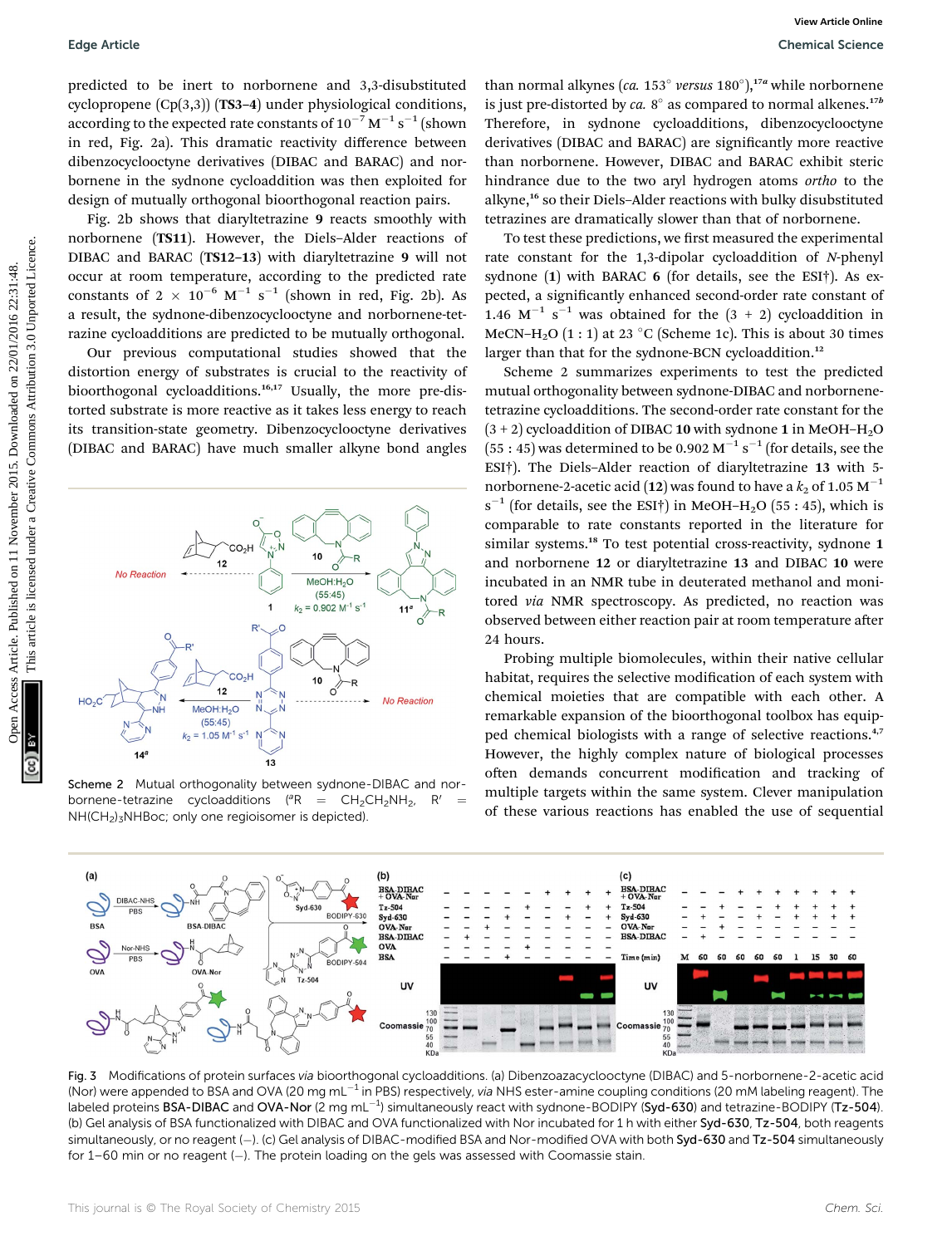predicted to be inert to norbornene and 3,3-disubstituted cyclopropene (Cp(3,3)) (TS3–4) under physiological conditions, according to the expected rate constants of 10 $^{-7}$  M $^{-1}$  s $^{-1}$  (shown in red, Fig. 2a). This dramatic reactivity difference between dibenzocyclooctyne derivatives (DIBAC and BARAC) and norbornene in the sydnone cycloaddition was then exploited for design of mutually orthogonal bioorthogonal reaction pairs.

Fig. 2b shows that diaryltetrazine 9 reacts smoothly with norbornene (TS11). However, the Diels–Alder reactions of DIBAC and BARAC (TS12–13) with diaryltetrazine 9 will not occur at room temperature, according to the predicted rate constants of  $2 \times 10^{-6} \text{ M}^{-1} \text{ s}^{-1}$  (shown in red, Fig. 2b). As a result, the sydnone-dibenzocyclooctyne and norbornene-tetrazine cycloadditions are predicted to be mutually orthogonal.

Our previous computational studies showed that the distortion energy of substrates is crucial to the reactivity of bioorthogonal cycloadditions.<sup>16,17</sup> Usually, the more pre-distorted substrate is more reactive as it takes less energy to reach its transition-state geometry. Dibenzocyclooctyne derivatives (DIBAC and BARAC) have much smaller alkyne bond angles



Scheme 2 Mutual orthogonality between sydnone-DIBAC and norbornene-tetrazine cycloadditions ( ${}^{\circ}R = CH_2CH_2NH_2$ , R' NH(CH2)3NHBoc; only one regioisomer is depicted).

than normal alkynes (ca. 153 $^{\circ}$  versus 180 $^{\circ}$ ),<sup>17a</sup> while norbornene is just pre-distorted by ca.  $8^\circ$  as compared to normal alkenes.<sup>17b</sup> Therefore, in sydnone cycloadditions, dibenzocyclooctyne derivatives (DIBAC and BARAC) are significantly more reactive than norbornene. However, DIBAC and BARAC exhibit steric hindrance due to the two aryl hydrogen atoms ortho to the alkyne,<sup>16</sup> so their Diels-Alder reactions with bulky disubstituted tetrazines are dramatically slower than that of norbornene.

To test these predictions, we first measured the experimental rate constant for the 1,3-dipolar cycloaddition of N-phenyl sydnone (1) with BARAC 6 (for details, see the ESI†). As expected, a significantly enhanced second-order rate constant of 1.46  $M^{-1}$  s<sup>-1</sup> was obtained for the  $(3 + 2)$  cycloaddition in MeCN–H<sub>2</sub>O  $(1:1)$  at 23 °C (Scheme 1c). This is about 30 times larger than that for the sydnone-BCN cycloaddition.<sup>12</sup>

Scheme 2 summarizes experiments to test the predicted mutual orthogonality between sydnone-DIBAC and norbornenetetrazine cycloadditions. The second-order rate constant for the  $(3 + 2)$  cycloaddition of DIBAC 10 with sydnone 1 in MeOH–H<sub>2</sub>O  $(55:45)$  was determined to be 0.902 M<sup>-1</sup> s<sup>-1</sup> (for details, see the ESI†). The Diels–Alder reaction of diaryltetrazine 13 with 5 norbornene-2-acetic acid (12) was found to have a  $k_2$  of 1.05 M<sup>-1</sup>  $s^{-1}$  (for details, see the ESI†) in MeOH-H<sub>2</sub>O (55:45), which is comparable to rate constants reported in the literature for similar systems.<sup>18</sup> To test potential cross-reactivity, sydnone 1 and norbornene 12 or diaryltetrazine 13 and DIBAC 10 were incubated in an NMR tube in deuterated methanol and monitored via NMR spectroscopy. As predicted, no reaction was observed between either reaction pair at room temperature after 24 hours. Edge Article<br>
predicted to be interest to and online production in the production in the  $\frac{1}{2}$  only  $\frac{1}{2}$  only  $\frac{1}{2}$  only  $\frac{1}{2}$  only  $\frac{1}{2}$  only  $\frac{1}{2}$  only  $\frac{1}{2}$  only  $\frac{1}{2}$  on  $\frac{1}{2}$  only

Probing multiple biomolecules, within their native cellular habitat, requires the selective modification of each system with chemical moieties that are compatible with each other. A remarkable expansion of the bioorthogonal toolbox has equipped chemical biologists with a range of selective reactions.<sup>4,7</sup> However, the highly complex nature of biological processes often demands concurrent modification and tracking of multiple targets within the same system. Clever manipulation of these various reactions has enabled the use of sequential



Fig. 3 Modifications of protein surfaces via bioorthogonal cycloadditions. (a) Dibenzoazacyclooctyne (DIBAC) and 5-norbornene-2-acetic acid (Nor) were appended to BSA and OVA (20 mg mL<sup>-1</sup> in PBS) respectively, via NHS ester-amine coupling conditions (20 mM labeling reagent). The labeled proteins <code>BSA-DIBAC</code> and <code>OVA-Nor</code> (2 mg mL $^{-1}$ ) simultaneously react with sydnone-BODIPY (Syd-630) and tetrazine-BODIPY (Tz-504). (b) Gel analysis of BSA functionalized with DIBAC and OVA functionalized with Nor incubated for 1 h with either Syd-630, Tz-504, both reagents simultaneously, or no reagent (-). (c) Gel analysis of DIBAC-modified BSA and Nor-modified OVA with both Syd-630 and Tz-504 simultaneously for 1–60 min or no reagent (-). The protein loading on the gels was assessed with Coomassie stain.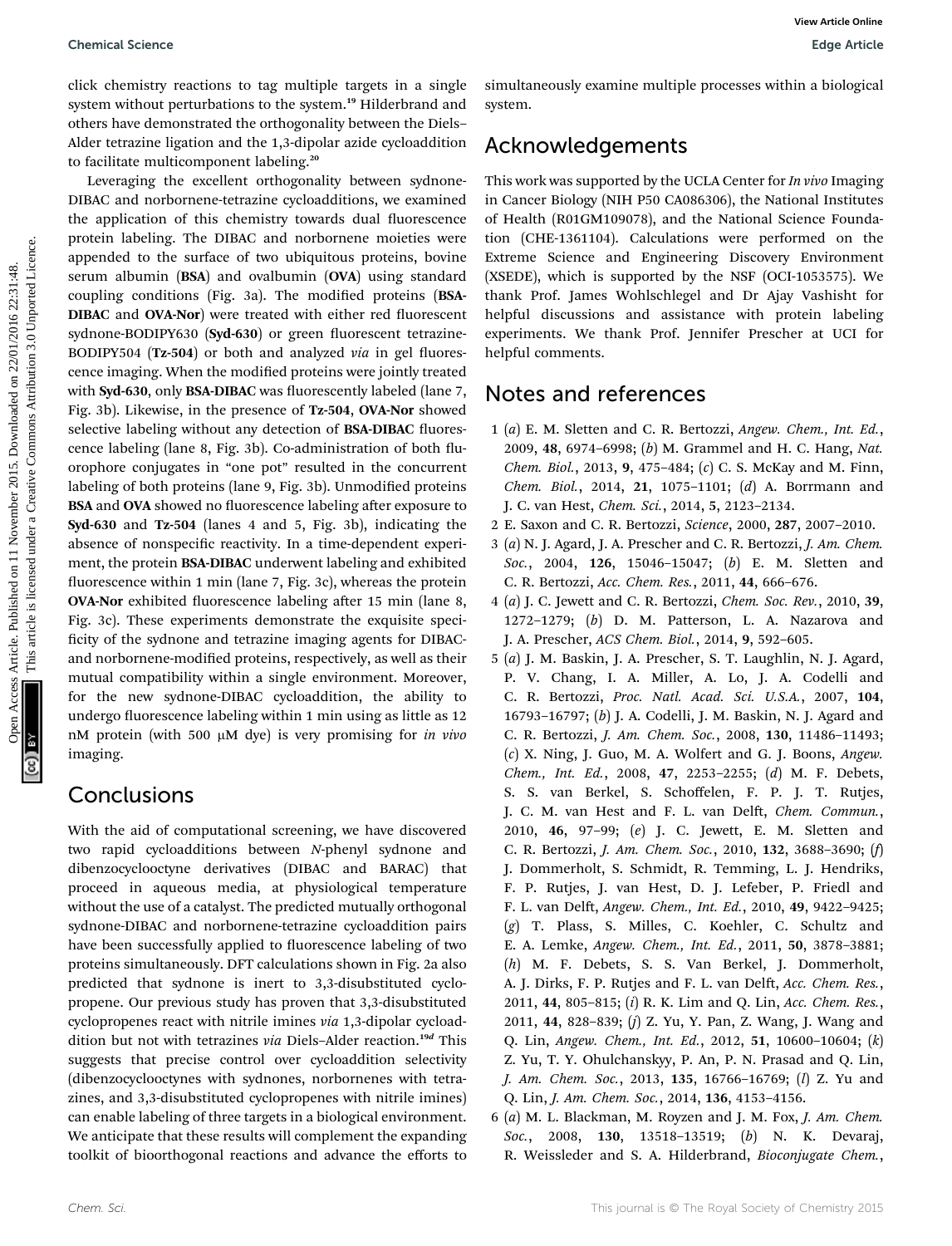click chemistry reactions to tag multiple targets in a single system without perturbations to the system.<sup>19</sup> Hilderbrand and others have demonstrated the orthogonality between the Diels– Alder tetrazine ligation and the 1,3-dipolar azide cycloaddition to facilitate multicomponent labeling.<sup>20</sup>

Leveraging the excellent orthogonality between sydnone-DIBAC and norbornene-tetrazine cycloadditions, we examined the application of this chemistry towards dual fluorescence protein labeling. The DIBAC and norbornene moieties were appended to the surface of two ubiquitous proteins, bovine serum albumin (BSA) and ovalbumin (OVA) using standard coupling conditions (Fig. 3a). The modified proteins (BSA-DIBAC and OVA-Nor) were treated with either red fluorescent sydnone-BODIPY630 (Syd-630) or green fluorescent tetrazine-BODIPY504 (Tz-504) or both and analyzed *via* in gel fluorescence imaging. When the modified proteins were jointly treated with Syd-630, only BSA-DIBAC was fluorescently labeled (lane 7, Fig. 3b). Likewise, in the presence of Tz-504, OVA-Nor showed selective labeling without any detection of BSA-DIBAC fluorescence labeling (lane 8, Fig. 3b). Co-administration of both fluorophore conjugates in "one pot" resulted in the concurrent labeling of both proteins (lane 9, Fig. 3b). Unmodified proteins BSA and OVA showed no fluorescence labeling after exposure to Syd-630 and Tz-504 (lanes 4 and 5, Fig. 3b), indicating the absence of nonspecific reactivity. In a time-dependent experiment, the protein BSA-DIBAC underwent labeling and exhibited fluorescence within 1 min (lane 7, Fig. 3c), whereas the protein OVA-Nor exhibited fluorescence labeling after 15 min (lane 8, Fig. 3c). These experiments demonstrate the exquisite speci ficity of the sydnone and tetrazine imaging agents for DIBACand norbornene-modified proteins, respectively, as well as their mutual compatibility within a single environment. Moreover, for the new sydnone-DIBAC cycloaddition, the ability to undergo fluorescence labeling within 1 min using as little as 12 nM protein (with 500  $\mu$ M dye) is very promising for *in vivo* imaging. Chemical Science<br>
Sign Article contrast are constrained on the system.<sup>2</sup> This article published on 11 November 2016<br>
No extent which means the theoretical article cycle different consideration and the system of the const

#### **Conclusions**

With the aid of computational screening, we have discovered two rapid cycloadditions between N-phenyl sydnone and dibenzocyclooctyne derivatives (DIBAC and BARAC) that proceed in aqueous media, at physiological temperature without the use of a catalyst. The predicted mutually orthogonal sydnone-DIBAC and norbornene-tetrazine cycloaddition pairs have been successfully applied to fluorescence labeling of two proteins simultaneously. DFT calculations shown in Fig. 2a also predicted that sydnone is inert to 3,3-disubstituted cyclopropene. Our previous study has proven that 3,3-disubstituted cyclopropenes react with nitrile imines via 1,3-dipolar cycloaddition but not with tetrazines via Diels-Alder reaction.<sup>19d</sup> This suggests that precise control over cycloaddition selectivity (dibenzocyclooctynes with sydnones, norbornenes with tetrazines, and 3,3-disubstituted cyclopropenes with nitrile imines) can enable labeling of three targets in a biological environment. We anticipate that these results will complement the expanding toolkit of bioorthogonal reactions and advance the efforts to

simultaneously examine multiple processes within a biological system.

## Acknowledgements

This work was supported by the UCLA Center for In vivo Imaging in Cancer Biology (NIH P50 CA086306), the National Institutes of Health (R01GM109078), and the National Science Foundation (CHE-1361104). Calculations were performed on the Extreme Science and Engineering Discovery Environment (XSEDE), which is supported by the NSF (OCI-1053575). We thank Prof. James Wohlschlegel and Dr Ajay Vashisht for helpful discussions and assistance with protein labeling experiments. We thank Prof. Jennifer Prescher at UCI for helpful comments.

### Notes and references

- 1 (a) E. M. Sletten and C. R. Bertozzi, Angew. Chem., Int. Ed., 2009, 48, 6974–6998; (b) M. Grammel and H. C. Hang, Nat. Chem. Biol., 2013, 9, 475–484; (c) C. S. McKay and M. Finn, Chem. Biol., 2014, 21, 1075–1101; (d) A. Borrmann and J. C. van Hest, Chem. Sci., 2014, 5, 2123–2134.
- 2 E. Saxon and C. R. Bertozzi, Science, 2000, 287, 2007–2010.
- 3 (a) N. J. Agard, J. A. Prescher and C. R. Bertozzi, J. Am. Chem. Soc., 2004, 126, 15046-15047; (b) E. M. Sletten and C. R. Bertozzi, Acc. Chem. Res., 2011, 44, 666–676.
- 4 (a) J. C. Jewett and C. R. Bertozzi, Chem. Soc. Rev., 2010, 39, 1272–1279; (b) D. M. Patterson, L. A. Nazarova and J. A. Prescher, ACS Chem. Biol., 2014, 9, 592–605.
- 5 (a) J. M. Baskin, J. A. Prescher, S. T. Laughlin, N. J. Agard, P. V. Chang, I. A. Miller, A. Lo, J. A. Codelli and C. R. Bertozzi, Proc. Natl. Acad. Sci. U.S.A., 2007, 104, 16793–16797; (b) J. A. Codelli, J. M. Baskin, N. J. Agard and C. R. Bertozzi, J. Am. Chem. Soc., 2008, 130, 11486–11493; (c) X. Ning, J. Guo, M. A. Wolfert and G. J. Boons, Angew. Chem., Int. Ed., 2008, 47, 2253–2255; (d) M. F. Debets, S. S. van Berkel, S. Schoffelen, F. P. J. T. Rutjes, J. C. M. van Hest and F. L. van Delft, Chem. Commun., 2010, 46, 97–99; (e) J. C. Jewett, E. M. Sletten and C. R. Bertozzi, J. Am. Chem. Soc., 2010, 132, 3688–3690; (f) J. Dommerholt, S. Schmidt, R. Temming, L. J. Hendriks, F. P. Rutjes, J. van Hest, D. J. Lefeber, P. Friedl and F. L. van Delft, Angew. Chem., Int. Ed., 2010, 49, 9422-9425; (g) T. Plass, S. Milles, C. Koehler, C. Schultz and E. A. Lemke, Angew. Chem., Int. Ed., 2011, 50, 3878–3881; (h) M. F. Debets, S. S. Van Berkel, J. Dommerholt, A. J. Dirks, F. P. Rutjes and F. L. van Delft, Acc. Chem. Res., 2011, 44, 805–815; (i) R. K. Lim and Q. Lin, Acc. Chem. Res., 2011, 44, 828–839; (j) Z. Yu, Y. Pan, Z. Wang, J. Wang and Q. Lin, Angew. Chem., Int. Ed., 2012, 51, 10600–10604; (k) Z. Yu, T. Y. Ohulchanskyy, P. An, P. N. Prasad and Q. Lin, J. Am. Chem. Soc., 2013, 135, 16766–16769; (l) Z. Yu and Q. Lin, J. Am. Chem. Soc., 2014, 136, 4153–4156.
- 6 (a) M. L. Blackman, M. Royzen and J. M. Fox, J. Am. Chem. Soc., 2008, 130, 13518–13519; (b) N. K. Devaraj, R. Weissleder and S. A. Hilderbrand, Bioconjugate Chem.,